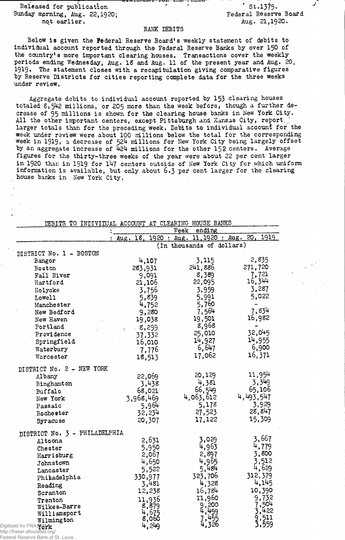Released for publication Sunday mprning, Aug. 22,1920; not earlier.

Federal Reserve Bank of St. Louis

Federal Reserve Board Aug. 21,1920.  $st.1375.$ 

## BANK DEBITS

Below is given the Federal Reserve Board's weekly statement of debits to individual account reported through the Federal Reserve Banks by over 150 of the country's more important clearing houses. Transactions cover the weekly periods ending Wednesday, Aug. 18 and Aug. 11 of the present year and Aug. 20, 1919. The statement closes with a recapitulation giving comparative figures by Reserve Districts for cities reporting complete data for the three weeks under review.

Aggregate debits to individual account reported by 153 clearing houses totaled 8,542 millions, or 205 more than the week before, though a further decrease of 95 millions is shown for the clearing house banks in New York City. All the other important centers, except Pittsburgh and Kansas City, report. larger totals than for the preceding week, Debits to individual account for the week under review were about 100 millions below the total for the corresponding week in 1919, a decrease of 524 millions for New York City being largely offset by an aggregate increase of 424 millions for the other 152 centers. Average figures for the thirty-three weeks of the year were about 22 per cent larger in 1920 than in 1919 for 147 centers outside of New York City for which uniform information is available, but only about 6 ,3 per cent larger for the clearing house banks in New York City.

|                                                         | DEBITS TO INDIVIDUAL ACCOUNT AT CLEARING HOUSE BANKS |                                                        |                |
|---------------------------------------------------------|------------------------------------------------------|--------------------------------------------------------|----------------|
|                                                         |                                                      | Week<br>ending<br>1920 : Aug. 11, 1920 : Aug. 20, 1919 |                |
|                                                         | Aug. 18.                                             | (In thousands of dollars)                              |                |
| DISTRICT No. 1 - BOSTON                                 |                                                      |                                                        |                |
| Bangor                                                  | 4,107                                                | 3,115                                                  | 2,835          |
| Boston                                                  | 283,931                                              | 241,886                                                | 271,720        |
| Fall River                                              | 9,091                                                | 8,389                                                  | 7,721          |
| Hartford                                                | 21,106                                               | 22,095                                                 | 16,344         |
| Holyoke                                                 | 3,756                                                | 3,959                                                  | 3,287          |
| Lowell                                                  | 5,839                                                | 5,991                                                  | 5,022          |
| Manchester                                              | 4,752                                                | 5,760                                                  |                |
| New Bedford                                             | 9,280                                                | 7,564                                                  | 7,834          |
| New Haven                                               | 19,038                                               | 19,501                                                 | 16,982         |
| Portland                                                | 8,299                                                | 8,968                                                  |                |
| Providence                                              | 37,332                                               | 25,010                                                 | 32,045         |
| Springfield                                             | 16,010                                               | 14,927                                                 | 14,955         |
| Waterbury                                               | 7,776                                                | 6,647                                                  | 6,900          |
| Worcester                                               | 18,513                                               | 17,062                                                 | 16,371         |
| DISTRICT No. 2 - NEW YORK                               |                                                      |                                                        |                |
| Albany                                                  | 22,069                                               | 20,129                                                 | 11,954         |
| Binghamton                                              | 3,438                                                | 4,381                                                  | 3,349          |
| Buffalo                                                 | 68,021                                               | 66,549                                                 | 65,106         |
| New York                                                | 3,968,469                                            | 4,063,612                                              | 4, 493, 547    |
| Passaic                                                 | 5,964                                                | 5,178                                                  | 3,929          |
| Rochester                                               | 32,234                                               | 27,523                                                 | 28,847         |
| Syracuse                                                | 20,307                                               | 17,122                                                 | 15,309         |
| DISTRICT No. 3 - PHILADELPHIA                           |                                                      |                                                        |                |
| Altoona                                                 | 2,631                                                | 3,029                                                  | 3,667          |
| Chester                                                 | 5,950                                                | 4,963                                                  | 4,779          |
| Harrisburg                                              | 2,067                                                | 2,897                                                  | 3,800          |
| Johnstown                                               | 4,650                                                | 4,965                                                  | 3,512          |
| Lancaster                                               | 5,522                                                | 5,484                                                  | 4,629          |
| Philadelphia                                            | 330,977                                              | 323,706                                                | 312,379        |
| Reading                                                 | 3,481                                                | 4,328                                                  | 4,145          |
| Scranton                                                | 12,238                                               | 16,784                                                 | 10,390         |
| Trenton                                                 | 11,936                                               | 11,960                                                 | 9,732          |
| Wilkes-Barre                                            | 8,879                                                | 9,200<br>4,459<br>459                                  | 7,504<br>3,422 |
| Williamsport                                            | 4,675                                                |                                                        |                |
| Wilmington                                              | 8,060<br>4,249                                       | 7,455<br>4,326                                         | 9,511<br>3,559 |
| Digitized for FRASERYK<br>http://fraser.stlouisfed.org/ |                                                      |                                                        |                |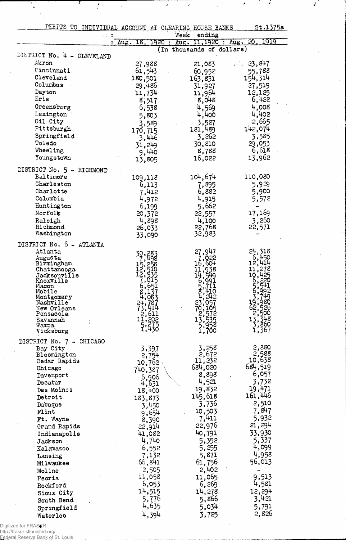| DEEITS TO INDIVIDUAL ACCOUNT AT CLEARING HOUSE BANKS |                       |                       | Week | ending           | st.1375a                   |
|------------------------------------------------------|-----------------------|-----------------------|------|------------------|----------------------------|
|                                                      | 18.<br>$Au\ddot{a}$ . | 1920<br>$\mathcal{L}$ | Aug. |                  | 1919<br>11,1920 : Aug. 20, |
|                                                      |                       |                       |      |                  | (In thousands of dollars)  |
| DISTRICT No. 4 - CLEVELAND                           |                       |                       |      |                  |                            |
| Akron                                                | 27,988                |                       |      | 21,083           | 23,847                     |
| Cincinnati                                           | 61,543                |                       |      | 60,952           | 55,788                     |
| Cleveland                                            | 180,501               |                       |      | 163,831          | 154,314                    |
| Columbus                                             | 29,486                |                       |      | 31,927           | 27,519                     |
| Dayton                                               | 11,734                |                       |      | 11,964           | 12,125                     |
| Erie                                                 | 8,517                 |                       |      | 8,048            | 6,422                      |
| Greensburg                                           | 6,538                 |                       |      | 4,569            | 4,008                      |
| Lexington                                            | 5,803                 |                       |      | 4,400            | 4,402                      |
| Oil City                                             | 3,589                 |                       |      | 3,527            | 2,665                      |
| Pittsburgh                                           | 170,715               |                       |      | 181,489          | 142,074                    |
| Springfield<br>Toledo                                | 3.446                 |                       |      | 3,262            | 3,585                      |
| Wheeling                                             | 31,249                |                       |      | 30,810           | 29,053<br>6,618            |
| Youngstown                                           | 9,440                 |                       |      | 8,788            | 13,962                     |
|                                                      | 13,805                |                       |      | 16,022           |                            |
| DISTRICT No. 5 - RICHMOND                            |                       |                       |      |                  |                            |
| Baltimore                                            | 109,118               |                       |      | 104,674          | 110,080                    |
| Charleston                                           |                       | 6,113                 |      | 7,895            | 5,929                      |
| Charlotte                                            |                       | 7,412                 |      | 6,882            | 5,900                      |
| Columbia                                             |                       | 4,972                 |      | 4,915            | 5,572                      |
| Huntington                                           |                       | 6,199                 |      | 5,662            |                            |
| Norfolk                                              | 20,372                |                       |      | 22,557           | 17,169                     |
| Raleigh                                              | 4,898                 |                       |      | 4,100            | 3,260                      |
| Richmond<br>Washington                               | 26,033                |                       |      | 22,768<br>32,983 | 22,571                     |
|                                                      | 33,090                |                       |      |                  |                            |
| DISTRICT No. 6 - ATLANTA                             |                       |                       |      |                  |                            |
| Atlanta                                              |                       |                       |      | 27,947           | 24.318                     |
| <b>Augusta</b><br>Birmingham                         |                       |                       |      |                  |                            |
| Chattanooga                                          |                       |                       |      |                  |                            |
| Jacksonville<br>Knoxville                            |                       |                       |      |                  |                            |
| Macon                                                |                       |                       |      |                  |                            |
| Mobile                                               |                       |                       |      |                  |                            |
| Montgomery<br>Nashville                              |                       | O8                    |      |                  |                            |
| New Orleans                                          |                       |                       |      |                  |                            |
| Pensacola                                            |                       |                       |      |                  | 2,                         |
| Savannah<br>Tampa                                    |                       |                       |      |                  | 60                         |
| Vicksburg                                            |                       |                       |      |                  | 67                         |
| DISTRICT No. 7 - CHICAGO                             |                       |                       |      |                  |                            |
| Bay City                                             |                       | 3,397                 |      | 3,258            | 2,880<br>2,588             |
| Bloomington                                          |                       | 2,754                 |      | 2,672            |                            |
| Cedar Rapids                                         | 10,762                |                       |      | 11,232           | 10,638                     |
| Chicago                                              | 740,387               |                       |      | 684,020          | 684,519                    |
| Davenport                                            |                       | 6,906                 |      | 8,898            | 6,057<br>3,732             |
| Decatur                                              |                       | 4,631                 |      | 4,521<br>19,832  | 19,471                     |
| Des Moines<br>Detroit                                | 18,400                |                       |      | 145,618          | 161,446                    |
| Dubuque                                              | 183,873               |                       |      | 3,736            | 2,510                      |
| Flint                                                |                       | 3,450                 |      | 10,503           | 7,847                      |
| Ft. Wayne                                            |                       | 9,654<br>8,390        |      | 7,411            | 5,932                      |
| Grand Rapids                                         |                       | 22,914                |      | 22,976           | 21,294                     |
| Indianapolis                                         |                       | 41,082                |      | 40,791           | 33,930                     |
| Jackson                                              |                       | 4,740                 |      | 5,352            | 5,337                      |
| Kalamazoo                                            |                       | 6,552                 |      | 5,255            | 4,099                      |
| Lansing                                              |                       | 7,132                 |      | 5,871            | 4,958                      |
| Milwaukee                                            |                       | 66,841                |      | 61,756           | 56,013                     |
| Moline                                               |                       | 2,505                 |      | 2,402            |                            |
| Peoria                                               |                       | 11,058                |      | 11,065           | 9,513                      |
| Rockford                                             |                       | 6,053                 |      | 6,269            | 4,581                      |
| Sioux City                                           |                       | 14,515                |      | 14,278           | 12,294                     |
| South Bend                                           |                       | 5,776                 |      | 5,866            | 3,421                      |
| Springfield                                          |                       | 4,635                 |      | 5,034            | 5,791                      |
| Waterloo                                             |                       | 4,394                 |      | 3,725            | 2,826                      |

 $\epsilon$ 

7

 $\overline{1}$ 

 $\overline{\cdot}$ 

 $\overline{1}$ 

ź

 $\mathbf{z}^2$ 

Digitized for FRASER<br>http://fraser.stlouisfed.org/<br>Eederal Reserve Bank of St. Louis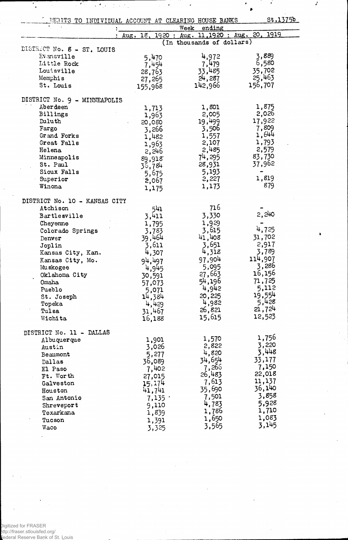| <b>DEBITS TO INDIVIDUAL ACCOUNT AT CLEARING HOUSE BANKS</b> |                     |                                   | st.1375b |
|-------------------------------------------------------------|---------------------|-----------------------------------|----------|
|                                                             |                     | ending<br>Week                    |          |
|                                                             | Aug, 18,            | 1920: Aug. 11,1920: Aug. 20, 1919 |          |
|                                                             |                     | (In thousands of dollars)         |          |
| DISTRICT No. 8 - ST. LOUIS                                  |                     |                                   |          |
| Evansville                                                  | 5,470               | 4,972                             | 3,889    |
| Little Rock                                                 | 7,454               | 7,479                             | 6,580    |
| Louisville                                                  | 28,763              | 33,485                            | 35,702   |
| Memphis                                                     | 27,265              | 24,287                            | 25,463   |
| St. Louis                                                   | 155,968             | 142,966                           | 156,707  |
| DISTRICT No. 9 - MINNEAPOLIS                                |                     |                                   |          |
| Aberdeen                                                    |                     | 1,801                             | 1,875    |
| Billings                                                    | 1,713               | 2,005                             | 2,026    |
| Duluth                                                      | 1,963               | 19,499                            | 17,922   |
|                                                             | 20,080              |                                   | 7,809    |
| Fargo                                                       | 3,266               | 3,506                             | 1,644    |
| Grand Forks                                                 | 1,482               | 1,557                             |          |
| Great Falls                                                 | 1,963               | 2,107                             | 1,793    |
| Helena                                                      | 2,246               | 2,485                             | 2,579    |
| Minneapolis                                                 | 89,918              | 74,295                            | 83,730   |
| St. Paul                                                    | 36,784              | 28,931                            | 37,962   |
| Sioux Falls                                                 | 5,675               | 5,193                             |          |
| Superior                                                    | 2,067               | 2,227                             | 1,819    |
| Winona                                                      | 1,175               | 1,173                             | 879      |
|                                                             |                     |                                   |          |
| DISTRICT No. 10 - KANSAS CITY                               |                     |                                   |          |
| Atchison                                                    | 541                 | 716                               |          |
| Bartlesville                                                | 3,411               | 3,330                             | 2,240    |
| Cheyenne                                                    | 1,795               | 1,929                             |          |
| Colorado Springs                                            | 3,783               | 3,615                             | 4,725    |
| Denver                                                      | 39,464              | 41,408                            | 31,702   |
| Joplin                                                      | 3,611               | 3,651                             | 2,917    |
| Kansas City, Kan.                                           | 4,307               | 4,318                             | 3,789    |
| Kansas City, Mo.                                            | 94,497              | 97,904                            | 114,907  |
| Muskogee                                                    | 4,945               | 5,095                             | 3,286    |
| Oklahoma City                                               | 30,591              | 27,663                            | 16,156   |
| Omaha                                                       |                     | 54,196                            | 71,725   |
| Pueblo                                                      | 57,073              | 4,942                             | 5,112    |
|                                                             | $5,071$<br>$14,384$ | 20,225                            | 19,554   |
| St. Joseph                                                  |                     | 4,982                             | 5,428    |
| Topeka                                                      | 4,429               | 26,821                            | 21,724   |
| Tulsa                                                       | 31,467              |                                   | 12,523   |
| Wichita                                                     | 16,188              | 15,615                            |          |
| DISTRICT No. 11 - DALLAS                                    |                     |                                   |          |
| Albuquerque                                                 | 1,901               | 1,570                             | 1,756    |
| Austin                                                      | 3,026               | 2,822                             | 3,220    |
| Beaumont                                                    | 5,277               | 4,820                             | 3,448    |
|                                                             | 36,089              | 34,654                            | 33,177   |
| Dallas                                                      |                     | 7,266                             | 7,150    |
| El Paso                                                     | 7,402               | 26,483                            | 22,018   |
| Ft. Worth                                                   | 27,015              | 7,613                             | 11,137   |
| Galveston                                                   | 15,174              |                                   | 36,140   |
| Houston                                                     | 41,741              | 35,690                            |          |
| San Antonio                                                 | $7,135$ ·           | 7,501                             | 3,858    |
| Shreveport                                                  | 9,110               | 4,783                             | 5,928    |
| Texarkana                                                   | 1,839               | 1,786                             | 1,710    |
| Tucson                                                      | 1,391               | 1,650                             | 1,083    |
| Waco                                                        | 3,325               | 3,565                             | 3,145    |
|                                                             |                     |                                   |          |

 $\lambda$ 

 $\sqrt{4}$ 

.,

Ţ

 $\boldsymbol{z}$ 

À